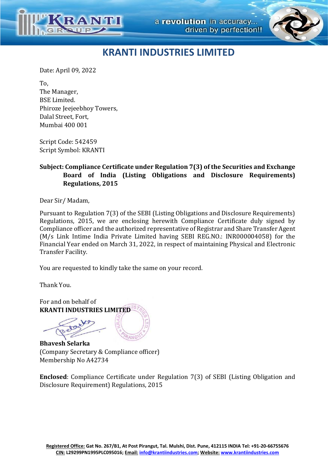

## **KRANTI INDUSTRIES LIMITED**

Date: April 09, 2022

To, The Manager, BSE Limited. Phiroze Jeejeebhoy Towers, Dalal Street, Fort, Mumbai 400 001

Script Code: 542459 Script Symbol: KRANTI

## **Subject: Compliance Certificate under Regulation 7(3) of the Securities and Exchange Board of India (Listing Obligations and Disclosure Requirements) Regulations, 2015**

Dear Sir/ Madam,

Pursuant to Regulation 7(3) of the SEBI (Listing Obligations and Disclosure Requirements) Regulations, 2015, we are enclosing herewith Compliance Certificate duly signed by Compliance officer and the authorized representative of Registrar and Share Transfer Agent (M/s Link Intime India Private Limited having SEBI REG.NO.: INR000004058) for the Financial Year ended on March 31, 2022, in respect of maintaining Physical and Electronic Transfer Facility.

You are requested to kindly take the same on your record.

Thank You.

For and on behalf of **KRANTI INDUSTRIES LIMITED**

**Bhavesh Selarka** (Company Secretary & Compliance officer) Membership No A42734

**Enclosed**: Compliance Certificate under Regulation 7(3) of SEBI (Listing Obligation and Disclosure Requirement) Regulations, 2015